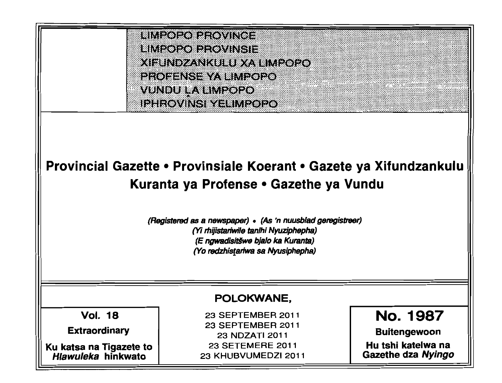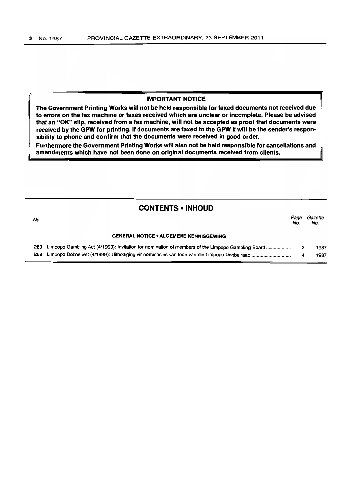#### IMPORTANT NOTICE

The Government Printing Works will not be held responsible for faxed documents not received due to errors on the fax machine or faxes received which are unclear or incomplete. Please be advised that an "OK" slip, received from a fax machine, will not be accepted as proof that documents were received by the GPW for printing. If documents are faxed to the GPW it will be the sender's responsibility to phone and confirm that the documents were received in good order.

Furthermore the Government Printing Works will also not be held responsible for cancellations and amendments which have not been done on original documents received from clients.

| <b>CONTENTS • INHOUD</b> |                                                                                                   |             |                |
|--------------------------|---------------------------------------------------------------------------------------------------|-------------|----------------|
| No.                      |                                                                                                   | Page<br>No. | Gazette<br>No. |
|                          | <b>GENERAL NOTICE • ALGEMENE KENNISGEWING</b>                                                     |             |                |
| 289                      | Limpopo Gambling Act (4/1999): Invitation for nomination of members of the Limpopo Gambling Board | З           | 1987           |
| 289                      |                                                                                                   | 4           | 1987           |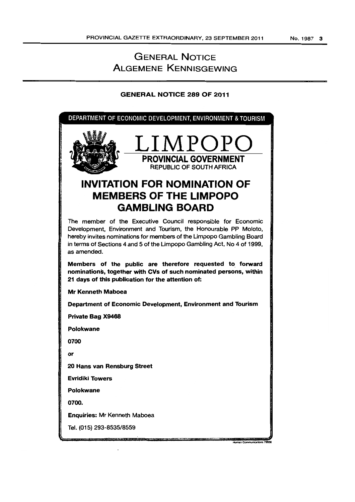## GENERAL NOTICE ALGEMENE KENNISGEWING

## GENERAL NOTICE 289 OF 2011

DEPARTMENT OF ECONOMIC DEVELOPMENT, ENVIRONMENT & TOURISM



# **INVITATION FOR NOMINATION OF MEMBERS OF THE LIMPOPO GAMBLING BOARD**

The member of the Executive Council responsible for Economic Development, Environment and Tourism, the Honourable PP Moloto, hereby invites nominations for members of the Umpopo Gambling Board in terms of Sections 4 and 5 of the Limpopo Gambling Act, No 4 of 1999, as amended.

Members of the public are therefore requested to, forward nominations, together with CVs of such nominated persons, within 21 days of this publication for the attention of:

Mr Kenneth Maboea

Department of Economic Development, Environment and Tourism

Private Bag X9468

Polokwane

0700

or

20 Hans van Rensburg Street

Evridiki Towers

Polokwane

0700.

Enquiries: Mr Kenneth Maboea

Tel. (015) *293-8535/8559* 

**Munsa Communication**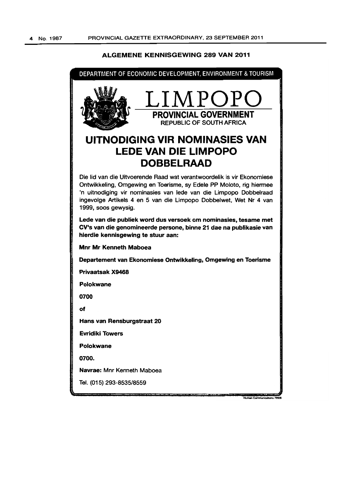## ALGEMENE KENNISGEWING 289 VAN 2011

,

| LIMPOPC<br><b>PROVINCIAL GOVERNMENT</b><br><b>REPUBLIC OF SOUTH AFRICA</b><br>UITNODIGING VIR NOMINASIES VAN                                                                                                                                                                                                   |  |  |  |
|----------------------------------------------------------------------------------------------------------------------------------------------------------------------------------------------------------------------------------------------------------------------------------------------------------------|--|--|--|
|                                                                                                                                                                                                                                                                                                                |  |  |  |
| <b>LEDE VAN DIE LIMPOPO</b><br><b>DOBBELRAAD</b>                                                                                                                                                                                                                                                               |  |  |  |
| Die lid van die Uitvoerende Raad wat verantwoordelik is vir Ekonomiese<br>Ontwikkeling, Omgewing en Toerisme, sy Edele PP Moloto, rig hiermee<br>'n uitnodiging vir nominasies van lede van die Limpopo Dobbelraad<br>ingevolge Artikels 4 en 5 van die Limpopo Dobbelwet, Wet Nr 4 van<br>1999, soos gewysig. |  |  |  |
| Lede van die publiek word dus versoek om nominasies, tesame met<br>CV's van die genomineerde persone, binne 21 dae na publikasie van<br>hierdie kennisgewing te stuur aan:                                                                                                                                     |  |  |  |
| <b>Mnr Mr Kenneth Maboea</b>                                                                                                                                                                                                                                                                                   |  |  |  |
| Departement van Ekonomiese Ontwikkeling, Omgewing en Toerisme                                                                                                                                                                                                                                                  |  |  |  |
| <b>Privaatsak X9468</b>                                                                                                                                                                                                                                                                                        |  |  |  |
| Polokwane                                                                                                                                                                                                                                                                                                      |  |  |  |
| 0700                                                                                                                                                                                                                                                                                                           |  |  |  |
| of                                                                                                                                                                                                                                                                                                             |  |  |  |
| Hans van Rensburgstraat 20                                                                                                                                                                                                                                                                                     |  |  |  |
| <b>Evridiki Towers</b>                                                                                                                                                                                                                                                                                         |  |  |  |
| <b>Polokwane</b>                                                                                                                                                                                                                                                                                               |  |  |  |
| 0700.                                                                                                                                                                                                                                                                                                          |  |  |  |
| Navrae: Mnr Kenneth Maboea                                                                                                                                                                                                                                                                                     |  |  |  |
| Tel. (015) 293-8535/8559<br>Human Communications 7993                                                                                                                                                                                                                                                          |  |  |  |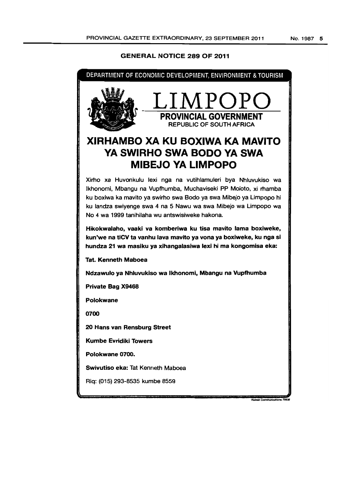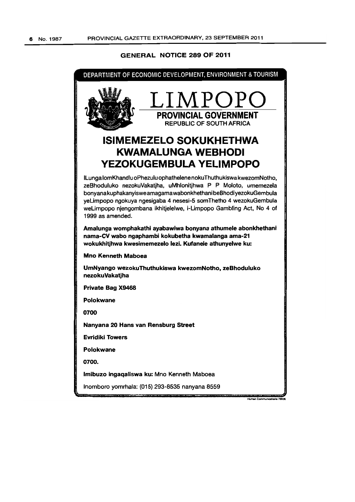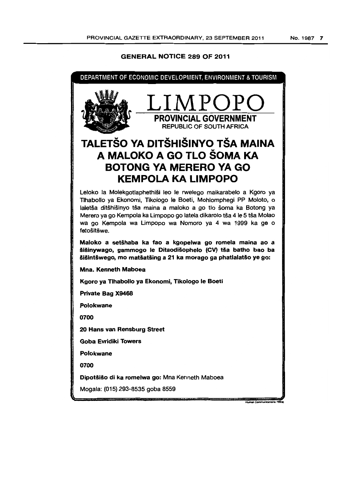